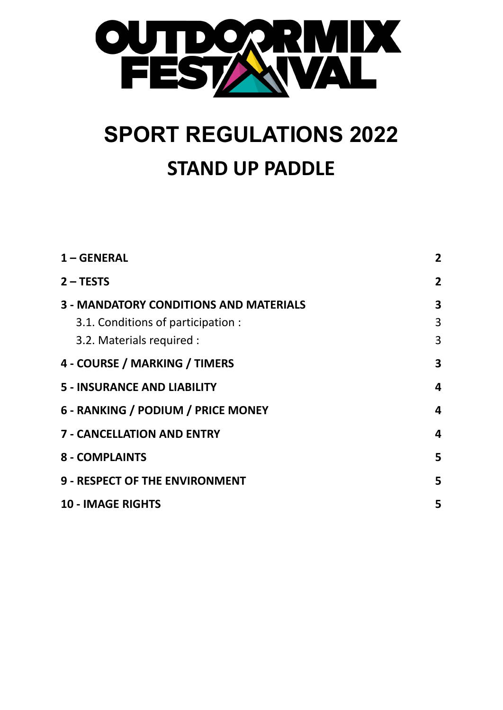

# **SPORT REGULATIONS 2022 STAND UP PADDLE**

| $1 - GENERAL$                                                                                                   | 2              |
|-----------------------------------------------------------------------------------------------------------------|----------------|
| $2 - TESTS$                                                                                                     | $\overline{2}$ |
| <b>3 - MANDATORY CONDITIONS AND MATERIALS</b><br>3.1. Conditions of participation:<br>3.2. Materials required : | 3<br>3<br>3    |
| 4 - COURSE / MARKING / TIMERS                                                                                   | 3              |
| <b>5 - INSURANCE AND LIABILITY</b>                                                                              | 4              |
| 6 - RANKING / PODIUM / PRICE MONEY                                                                              | 4              |
| <b>7 - CANCELLATION AND ENTRY</b>                                                                               | 4              |
| <b>8 - COMPLAINTS</b>                                                                                           | 5              |
| <b>9 - RESPECT OF THE ENVIRONMENT</b>                                                                           | 5              |
| <b>10 - IMAGE RIGHTS</b>                                                                                        | 5              |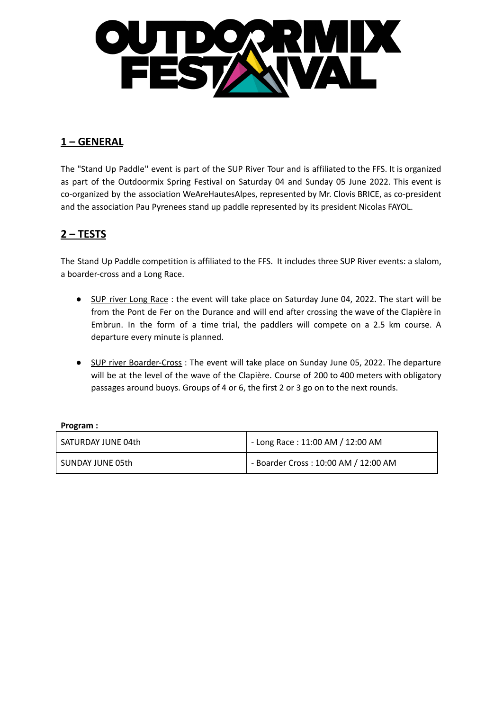

# <span id="page-1-0"></span>**1 – GENERAL**

The "Stand Up Paddle'' event is part of the SUP River Tour and is affiliated to the FFS. It is organized as part of the Outdoormix Spring Festival on Saturday 04 and Sunday 05 June 2022. This event is co-organized by the association WeAreHautesAlpes, represented by Mr. Clovis BRICE, as co-president and the association Pau Pyrenees stand up paddle represented by its president Nicolas FAYOL.

# <span id="page-1-1"></span>**2 – TESTS**

The Stand Up Paddle competition is affiliated to the FFS. It includes three SUP River events: a slalom, a boarder-cross and a Long Race.

- SUP river Long Race : the event will take place on Saturday June 04, 2022. The start will be from the Pont de Fer on the Durance and will end after crossing the wave of the Clapière in Embrun. In the form of a time trial, the paddlers will compete on a 2.5 km course. A departure every minute is planned.
- SUP river Boarder-Cross : The event will take place on Sunday June 05, 2022. The departure will be at the level of the wave of the Clapière. Course of 200 to 400 meters with obligatory passages around buoys. Groups of 4 or 6, the first 2 or 3 go on to the next rounds.

#### **Program :**

| l SATURDAY JUNE 04th | - Long Race: 11:00 AM / 12:00 AM     |
|----------------------|--------------------------------------|
| l SUNDAY JUNE 05th   | - Boarder Cross: 10:00 AM / 12:00 AM |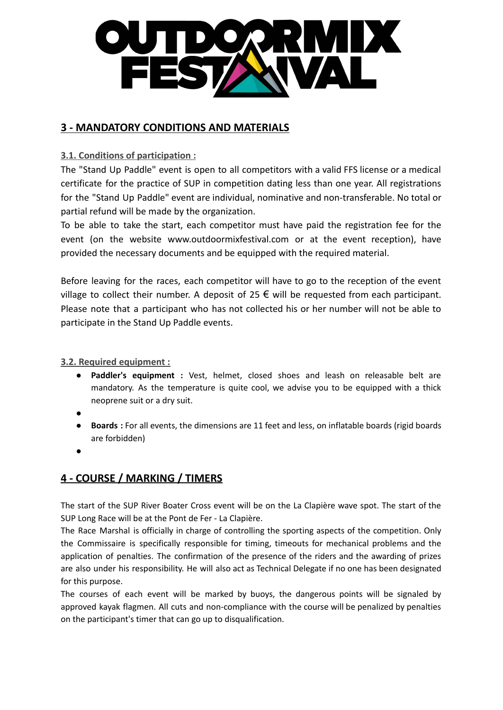

#### <span id="page-2-0"></span>**3 - MANDATORY CONDITIONS AND MATERIALS**

#### <span id="page-2-1"></span>**3.1. Conditions of participation :**

The "Stand Up Paddle" event is open to all competitors with a valid FFS license or a medical certificate for the practice of SUP in competition dating less than one year. All registrations for the "Stand Up Paddle" event are individual, nominative and non-transferable. No total or partial refund will be made by the organization.

To be able to take the start, each competitor must have paid the registration fee for the event (on the website www.outdoormixfestival.com or at the event reception), have provided the necessary documents and be equipped with the required material.

Before leaving for the races, each competitor will have to go to the reception of the event village to collect their number. A deposit of 25  $\epsilon$  will be requested from each participant. Please note that a participant who has not collected his or her number will not be able to participate in the Stand Up Paddle events.

<span id="page-2-2"></span>**3.2. Required equipment :**

- **Paddler's equipment :** Vest, helmet, closed shoes and leash on releasable belt are mandatory. As the temperature is quite cool, we advise you to be equipped with a thick neoprene suit or a dry suit.
- ●
- **Boards :** For all events, the dimensions are 11 feet and less, on inflatable boards (rigid boards are forbidden)
- **●**

# <span id="page-2-3"></span>**4 - COURSE / MARKING / TIMERS**

The start of the SUP River Boater Cross event will be on the La Clapière wave spot. The start of the SUP Long Race will be at the Pont de Fer - La Clapière.

The Race Marshal is officially in charge of controlling the sporting aspects of the competition. Only the Commissaire is specifically responsible for timing, timeouts for mechanical problems and the application of penalties. The confirmation of the presence of the riders and the awarding of prizes are also under his responsibility. He will also act as Technical Delegate if no one has been designated for this purpose.

The courses of each event will be marked by buoys, the dangerous points will be signaled by approved kayak flagmen. All cuts and non-compliance with the course will be penalized by penalties on the participant's timer that can go up to disqualification.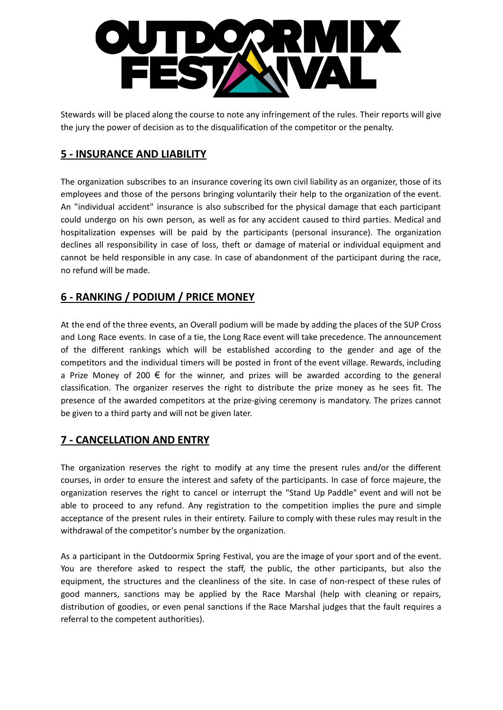

Stewards will be placed along the course to note any infringement of the rules. Their reports will give the jury the power of decision as to the disqualification of the competitor or the penalty.

#### <span id="page-3-0"></span>**5 - INSURANCE AND LIABILITY**

The organization subscribes to an insurance covering its own civil liability as an organizer, those of its employees and those of the persons bringing voluntarily their help to the organization of the event. An "individual accident" insurance is also subscribed for the physical damage that each participant could undergo on his own person, as well as for any accident caused to third parties. Medical and hospitalization expenses will be paid by the participants (personal insurance). The organization declines all responsibility in case of loss, theft or damage of material or individual equipment and cannot be held responsible in any case. In case of abandonment of the participant during the race, no refund will be made.

#### <span id="page-3-1"></span>**6 - RANKING / PODIUM / PRICE MONEY**

At the end of the three events, an Overall podium will be made by adding the places of the SUP Cross and Long Race events. In case of a tie, the Long Race event will take precedence. The announcement of the different rankings which will be established according to the gender and age of the competitors and the individual timers will be posted in front of the event village. Rewards, including a Prize Money of 200  $\epsilon$  for the winner, and prizes will be awarded according to the general classification. The organizer reserves the right to distribute the prize money as he sees fit. The presence of the awarded competitors at the prize-giving ceremony is mandatory. The prizes cannot be given to a third party and will not be given later.

#### <span id="page-3-2"></span>**7 - CANCELLATION AND ENTRY**

The organization reserves the right to modify at any time the present rules and/or the different courses, in order to ensure the interest and safety of the participants. In case of force majeure, the organization reserves the right to cancel or interrupt the "Stand Up Paddle" event and will not be able to proceed to any refund. Any registration to the competition implies the pure and simple acceptance of the present rules in their entirety. Failure to comply with these rules may result in the withdrawal of the competitor's number by the organization.

As a participant in the Outdoormix Spring Festival, you are the image of your sport and of the event. You are therefore asked to respect the staff, the public, the other participants, but also the equipment, the structures and the cleanliness of the site. In case of non-respect of these rules of good manners, sanctions may be applied by the Race Marshal (help with cleaning or repairs, distribution of goodies, or even penal sanctions if the Race Marshal judges that the fault requires a referral to the competent authorities).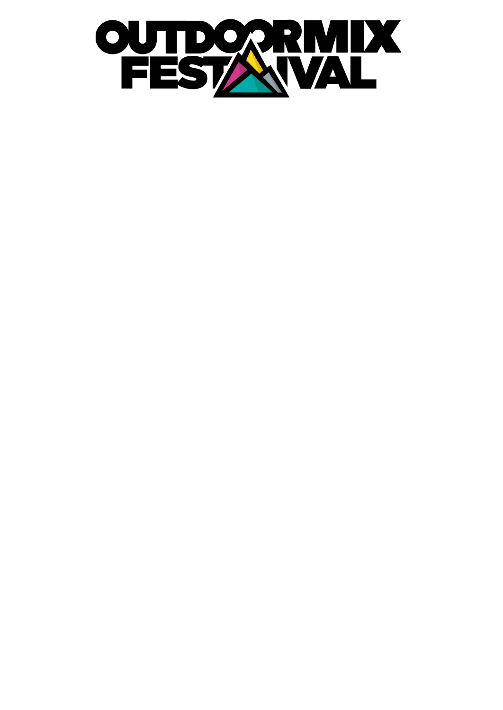